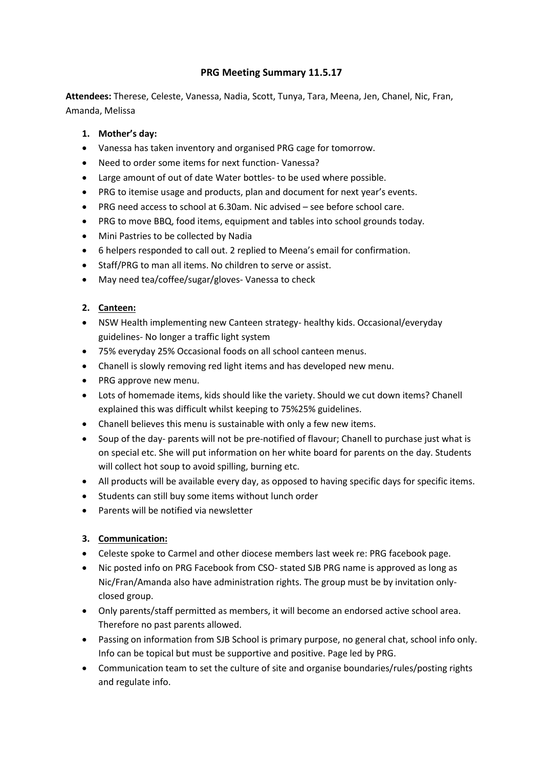# **PRG Meeting Summary 11.5.17**

**Attendees:** Therese, Celeste, Vanessa, Nadia, Scott, Tunya, Tara, Meena, Jen, Chanel, Nic, Fran, Amanda, Melissa

### **1. Mother's day:**

- Vanessa has taken inventory and organised PRG cage for tomorrow.
- Need to order some items for next function- Vanessa?
- Large amount of out of date Water bottles- to be used where possible.
- PRG to itemise usage and products, plan and document for next year's events.
- PRG need access to school at 6.30am. Nic advised see before school care.
- PRG to move BBQ, food items, equipment and tables into school grounds today.
- Mini Pastries to be collected by Nadia
- 6 helpers responded to call out. 2 replied to Meena's email for confirmation.
- Staff/PRG to man all items. No children to serve or assist.
- May need tea/coffee/sugar/gloves-Vanessa to check

### **2. Canteen:**

- NSW Health implementing new Canteen strategy- healthy kids. Occasional/everyday guidelines- No longer a traffic light system
- 75% everyday 25% Occasional foods on all school canteen menus.
- Chanell is slowly removing red light items and has developed new menu.
- PRG approve new menu.
- Lots of homemade items, kids should like the variety. Should we cut down items? Chanell explained this was difficult whilst keeping to 75%25% guidelines.
- Chanell believes this menu is sustainable with only a few new items.
- Soup of the day- parents will not be pre-notified of flavour; Chanell to purchase just what is on special etc. She will put information on her white board for parents on the day. Students will collect hot soup to avoid spilling, burning etc.
- All products will be available every day, as opposed to having specific days for specific items.
- Students can still buy some items without lunch order
- Parents will be notified via newsletter

### **3. Communication:**

- Celeste spoke to Carmel and other diocese members last week re: PRG facebook page.
- Nic posted info on PRG Facebook from CSO- stated SJB PRG name is approved as long as Nic/Fran/Amanda also have administration rights. The group must be by invitation onlyclosed group.
- Only parents/staff permitted as members, it will become an endorsed active school area. Therefore no past parents allowed.
- Passing on information from SJB School is primary purpose, no general chat, school info only. Info can be topical but must be supportive and positive. Page led by PRG.
- Communication team to set the culture of site and organise boundaries/rules/posting rights and regulate info.